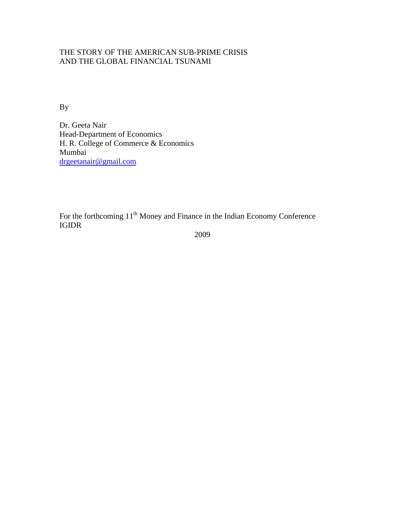# THE STORY OF THE AMERICAN SUB-PRIME CRISIS AND THE GLOBAL FINANCIAL TSUNAMI

By

Dr. Geeta Nair Head-Department of Economics H. R. College of Commerce & Economics Mumbai [drgeetanair@gmail.com](mailto:drgeetanair@gmail.com)

For the forthcoming 11<sup>th</sup> Money and Finance in the Indian Economy Conference IGIDR

2009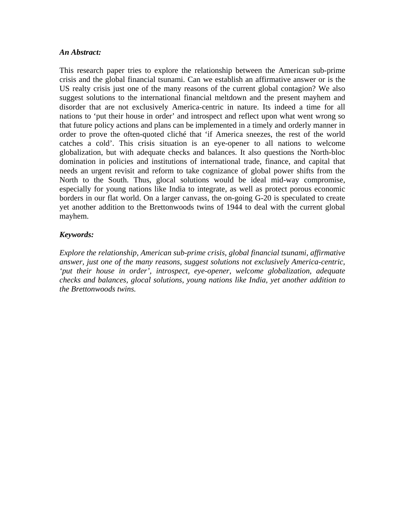### *An Abstract:*

This research paper tries to explore the relationship between the American sub-prime crisis and the global financial tsunami. Can we establish an affirmative answer or is the US realty crisis just one of the many reasons of the current global contagion? We also suggest solutions to the international financial meltdown and the present mayhem and disorder that are not exclusively America-centric in nature. Its indeed a time for all nations to 'put their house in order' and introspect and reflect upon what went wrong so that future policy actions and plans can be implemented in a timely and orderly manner in order to prove the often-quoted cliché that 'if America sneezes, the rest of the world catches a cold'. This crisis situation is an eye-opener to all nations to welcome globalization, but with adequate checks and balances. It also questions the North-bloc domination in policies and institutions of international trade, finance, and capital that needs an urgent revisit and reform to take cognizance of global power shifts from the North to the South. Thus, glocal solutions would be ideal mid-way compromise, especially for young nations like India to integrate, as well as protect porous economic borders in our flat world. On a larger canvass, the on-going G-20 is speculated to create yet another addition to the Brettonwoods twins of 1944 to deal with the current global mayhem.

## *Keywords:*

*Explore the relationship, American sub-prime crisis, global financial tsunami, affirmative answer, just one of the many reasons, suggest solutions not exclusively America-centric, 'put their house in order', introspect, eye-opener, welcome globalization, adequate checks and balances, glocal solutions, young nations like India, yet another addition to the Brettonwoods twins.*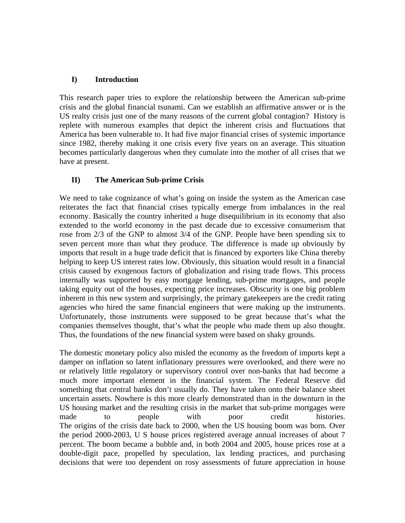## **I) Introduction**

This research paper tries to explore the relationship between the American sub-prime crisis and the global financial tsunami. Can we establish an affirmative answer or is the US realty crisis just one of the many reasons of the current global contagion? History is replete with numerous examples that depict the inherent crisis and fluctuations that America has been vulnerable to. It had five major financial crises of systemic importance since 1982, thereby making it one crisis every five years on an average. This situation becomes particularly dangerous when they cumulate into the mother of all crises that we have at present.

# **II) The American Sub-prime Crisis**

We need to take cognizance of what's going on inside the system as the American case reiterates the fact that financial crises typically emerge from imbalances in the real economy. Basically the country inherited a huge disequilibrium in its economy that also extended to the world economy in the past decade due to excessive consumerism that rose from 2/3 of the GNP to almost 3/4 of the GNP. People have been spending six to seven percent more than what they produce. The difference is made up obviously by imports that result in a huge trade deficit that is financed by exporters like China thereby helping to keep US interest rates low. Obviously, this situation would result in a financial crisis caused by exogenous factors of globalization and rising trade flows. This process internally was supported by easy mortgage lending, sub-prime mortgages, and people taking equity out of the houses, expecting price increases. Obscurity is one big problem inherent in this new system and surprisingly, the primary gatekeepers are the credit rating agencies who hired the same financial engineers that were making up the instruments. Unfortunately, those instruments were supposed to be great because that's what the companies themselves thought, that's what the people who made them up also thought. Thus, the foundations of the new financial system were based on shaky grounds.

The domestic monetary policy also misled the economy as the freedom of imports kept a damper on inflation so latent inflationary pressures were overlooked, and there were no or relatively little regulatory or supervisory control over non-banks that had become a much more important element in the financial system. The Federal Reserve did something that central banks don't usually do. They have taken onto their balance sheet uncertain assets. Nowhere is this more clearly demonstrated than in the downturn in the US housing market and the resulting crisis in the market that sub-prime mortgages were made to people with poor credit histories. The origins of the crisis date back to 2000, when the US housing boom was born. Over the period 2000-2003, U S house prices registered average annual increases of about 7 percent. The boom became a bubble and, in both 2004 and 2005, house prices rose at a double-digit pace, propelled by speculation, lax lending practices, and purchasing decisions that were too dependent on rosy assessments of future appreciation in house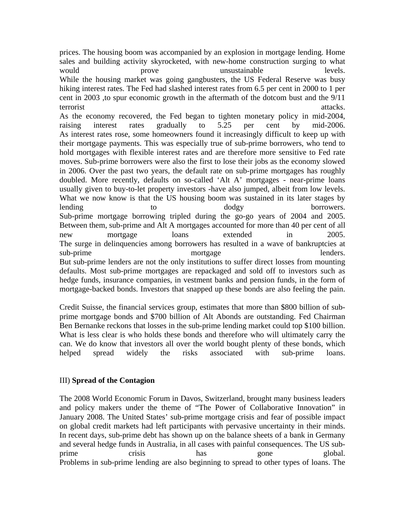prices. The housing boom was accompanied by an explosion in mortgage lending. Home sales and building activity skyrocketed, with new-home construction surging to what would **prove** prove **unsustainable** levels. While the housing market was going gangbusters, the US Federal Reserve was busy hiking interest rates. The Fed had slashed interest rates from 6.5 per cent in 2000 to 1 per cent in 2003 ,to spur economic growth in the aftermath of the dotcom bust and the 9/11 terrorist attacks.

As the economy recovered, the Fed began to tighten monetary policy in mid-2004, raising interest rates gradually to 5.25 per cent by mid-2006. As interest rates rose, some homeowners found it increasingly difficult to keep up with their mortgage payments. This was especially true of sub-prime borrowers, who tend to hold mortgages with flexible interest rates and are therefore more sensitive to Fed rate moves. Sub-prime borrowers were also the first to lose their jobs as the economy slowed in 2006. Over the past two years, the default rate on sub-prime mortgages has roughly doubled. More recently, defaults on so-called 'Alt A' mortgages - near-prime loans usually given to buy-to-let property investors -have also jumped, albeit from low levels. What we now know is that the US housing boom was sustained in its later stages by lending to to dodgy borrowers. Sub-prime mortgage borrowing tripled during the go-go years of 2004 and 2005. Between them, sub-prime and Alt A mortgages accounted for more than 40 per cent of all new mortgage loans extended in 2005. The surge in delinquencies among borrowers has resulted in a wave of bankruptcies at sub-prime lenders. But sub-prime lenders are not the only institutions to suffer direct losses from mounting defaults. Most sub-prime mortgages are repackaged and sold off to investors such as hedge funds, insurance companies, in vestment banks and pension funds, in the form of mortgage-backed bonds. Investors that snapped up these bonds are also feeling the pain.

Credit Suisse, the financial services group, estimates that more than \$800 billion of subprime mortgage bonds and \$700 billion of Alt Abonds are outstanding. Fed Chairman Ben Bernanke reckons that losses in the sub-prime lending market could top \$100 billion. What is less clear is who holds these bonds and therefore who will ultimately carry the can. We do know that investors all over the world bought plenty of these bonds, which helped spread widely the risks associated with sub-prime loans.

### III) **Spread of the Contagion**

The 2008 World Economic Forum in Davos, Switzerland, brought many business leaders and policy makers under the theme of "The Power of Collaborative Innovation" in January 2008. The United States' sub-prime mortgage crisis and fear of possible impact on global credit markets had left participants with pervasive uncertainty in their minds. In recent days, sub-prime debt has shown up on the balance sheets of a bank in Germany and several hedge funds in Australia, in all cases with painful consequences. The US subprime crisis has gone global. Problems in sub-prime lending are also beginning to spread to other types of loans. The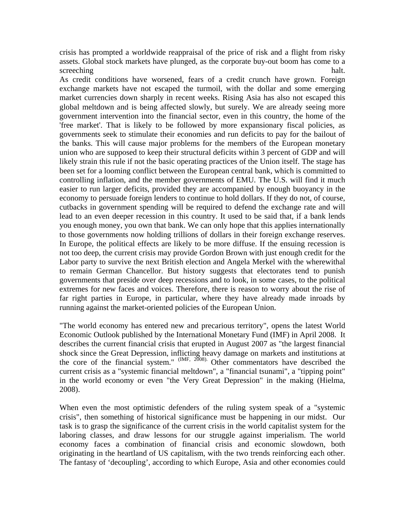crisis has prompted a worldwide reappraisal of the price of risk and a flight from risky assets. Global stock markets have plunged, as the corporate buy-out boom has come to a screeching halt.

As credit conditions have worsened, fears of a credit crunch have grown. Foreign exchange markets have not escaped the turmoil, with the dollar and some emerging market currencies down sharply in recent weeks. Rising Asia has also not escaped this global meltdown and is being affected slowly, but surely. We are already seeing more government intervention into the financial sector, even in this country, the home of the 'free market'. That is likely to be followed by more expansionary fiscal policies, as governments seek to stimulate their economies and run deficits to pay for the bailout of the banks. This will cause major problems for the members of the European monetary union who are supposed to keep their structural deficits within 3 percent of GDP and will likely strain this rule if not the basic operating practices of the Union itself. The stage has been set for a looming conflict between the European central bank, which is committed to controlling inflation, and the member governments of EMU. The U.S. will find it much easier to run larger deficits, provided they are accompanied by enough buoyancy in the economy to persuade foreign lenders to continue to hold dollars. If they do not, of course, cutbacks in government spending will be required to defend the exchange rate and will lead to an even deeper recession in this country. It used to be said that, if a bank lends you enough money, you own that bank. We can only hope that this applies internationally to those governments now holding trillions of dollars in their foreign exchange reserves. In Europe, the political effects are likely to be more diffuse. If the ensuing recession is not too deep, the current crisis may provide Gordon Brown with just enough credit for the Labor party to survive the next British election and Angela Merkel with the wherewithal to remain German Chancellor. But history suggests that electorates tend to punish governments that preside over deep recessions and to look, in some cases, to the political extremes for new faces and voices. Therefore, there is reason to worry about the rise of far right parties in Europe, in particular, where they have already made inroads by running against the market-oriented policies of the European Union.

"The world economy has entered new and precarious territory", opens the latest World Economic Outlook published by the International Monetary Fund (IMF) in April 2008. It describes the current financial crisis that erupted in August 2007 as "the largest financial shock since the Great Depression, inflicting heavy damage on markets and institutions at the core of the financial system."  $(MF, 2008)$ . Other commentators have described the current crisis as a "systemic financial meltdown", a "financial tsunami", a "tipping point" in the world economy or even "the Very Great Depression" in the making (Hielma, 2008).

When even the most optimistic defenders of the ruling system speak of a "systemic crisis", then something of historical significance must be happening in our midst. Our task is to grasp the significance of the current crisis in the world capitalist system for the laboring classes, and draw lessons for our struggle against imperialism. The world economy faces a combination of financial crisis and economic slowdown, both originating in the heartland of US capitalism, with the two trends reinforcing each other. The fantasy of 'decoupling', according to which Europe, Asia and other economies could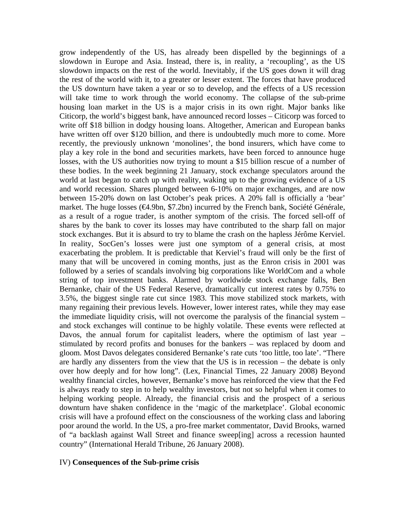grow independently of the US, has already been dispelled by the beginnings of a slowdown in Europe and Asia. Instead, there is, in reality, a 'recoupling', as the US slowdown impacts on the rest of the world. Inevitably, if the US goes down it will drag the rest of the world with it, to a greater or lesser extent. The forces that have produced the US downturn have taken a year or so to develop, and the effects of a US recession will take time to work through the world economy. The collapse of the sub-prime housing loan market in the US is a major crisis in its own right. Major banks like Citicorp, the world's biggest bank, have announced record losses – Citicorp was forced to write off \$18 billion in dodgy housing loans. Altogether, American and European banks have written off over \$120 billion, and there is undoubtedly much more to come. More recently, the previously unknown 'monolines', the bond insurers, which have come to play a key role in the bond and securities markets, have been forced to announce huge losses, with the US authorities now trying to mount a \$15 billion rescue of a number of these bodies. In the week beginning 21 January, stock exchange speculators around the world at last began to catch up with reality, waking up to the growing evidence of a US and world recession. Shares plunged between 6-10% on major exchanges, and are now between 15-20% down on last October's peak prices. A 20% fall is officially a 'bear' market. The huge losses (€4.9bn, \$7.2bn) incurred by the French bank, Société Générale, as a result of a rogue trader, is another symptom of the crisis. The forced sell-off of shares by the bank to cover its losses may have contributed to the sharp fall on major stock exchanges. But it is absurd to try to blame the crash on the hapless Jérôme Kerviel. In reality, SocGen's losses were just one symptom of a general crisis, at most exacerbating the problem. It is predictable that Kerviel's fraud will only be the first of many that will be uncovered in coming months, just as the Enron crisis in 2001 was followed by a series of scandals involving big corporations like WorldCom and a whole string of top investment banks. Alarmed by worldwide stock exchange falls, Ben Bernanke, chair of the US Federal Reserve, dramatically cut interest rates by 0.75% to 3.5%, the biggest single rate cut since 1983. This move stabilized stock markets, with many regaining their previous levels. However, lower interest rates, while they may ease the immediate liquidity crisis, will not overcome the paralysis of the financial system – and stock exchanges will continue to be highly volatile. These events were reflected at Davos, the annual forum for capitalist leaders, where the optimism of last year – stimulated by record profits and bonuses for the bankers – was replaced by doom and gloom. Most Davos delegates considered Bernanke's rate cuts 'too little, too late'. "There are hardly any dissenters from the view that the US is in recession – the debate is only over how deeply and for how long". (Lex, Financial Times, 22 January 2008) Beyond wealthy financial circles, however, Bernanke's move has reinforced the view that the Fed is always ready to step in to help wealthy investors, but not so helpful when it comes to helping working people. Already, the financial crisis and the prospect of a serious downturn have shaken confidence in the 'magic of the marketplace'. Global economic crisis will have a profound effect on the consciousness of the working class and laboring poor around the world. In the US, a pro-free market commentator, David Brooks, warned of "a backlash against Wall Street and finance sweep[ing] across a recession haunted country" (International Herald Tribune, 26 January 2008).

#### IV) **Consequences of the Sub-prime crisis**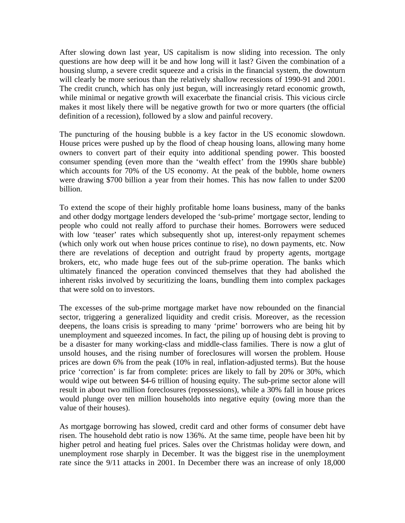After slowing down last year, US capitalism is now sliding into recession. The only questions are how deep will it be and how long will it last? Given the combination of a housing slump, a severe credit squeeze and a crisis in the financial system, the downturn will clearly be more serious than the relatively shallow recessions of 1990-91 and 2001. The credit crunch, which has only just begun, will increasingly retard economic growth, while minimal or negative growth will exacerbate the financial crisis. This vicious circle makes it most likely there will be negative growth for two or more quarters (the official definition of a recession), followed by a slow and painful recovery.

The puncturing of the housing bubble is a key factor in the US economic slowdown. House prices were pushed up by the flood of cheap housing loans, allowing many home owners to convert part of their equity into additional spending power. This boosted consumer spending (even more than the 'wealth effect' from the 1990s share bubble) which accounts for 70% of the US economy. At the peak of the bubble, home owners were drawing \$700 billion a year from their homes. This has now fallen to under \$200 billion.

To extend the scope of their highly profitable home loans business, many of the banks and other dodgy mortgage lenders developed the 'sub-prime' mortgage sector, lending to people who could not really afford to purchase their homes. Borrowers were seduced with low 'teaser' rates which subsequently shot up, interest-only repayment schemes (which only work out when house prices continue to rise), no down payments, etc. Now there are revelations of deception and outright fraud by property agents, mortgage brokers, etc, who made huge fees out of the sub-prime operation. The banks which ultimately financed the operation convinced themselves that they had abolished the inherent risks involved by securitizing the loans, bundling them into complex packages that were sold on to investors.

The excesses of the sub-prime mortgage market have now rebounded on the financial sector, triggering a generalized liquidity and credit crisis. Moreover, as the recession deepens, the loans crisis is spreading to many 'prime' borrowers who are being hit by unemployment and squeezed incomes. In fact, the piling up of housing debt is proving to be a disaster for many working-class and middle-class families. There is now a glut of unsold houses, and the rising number of foreclosures will worsen the problem. House prices are down 6% from the peak (10% in real, inflation-adjusted terms). But the house price 'correction' is far from complete: prices are likely to fall by 20% or 30%, which would wipe out between \$4-6 trillion of housing equity. The sub-prime sector alone will result in about two million foreclosures (repossessions), while a 30% fall in house prices would plunge over ten million households into negative equity (owing more than the value of their houses).

As mortgage borrowing has slowed, credit card and other forms of consumer debt have risen. The household debt ratio is now 136%. At the same time, people have been hit by higher petrol and heating fuel prices. Sales over the Christmas holiday were down, and unemployment rose sharply in December. It was the biggest rise in the unemployment rate since the 9/11 attacks in 2001. In December there was an increase of only 18,000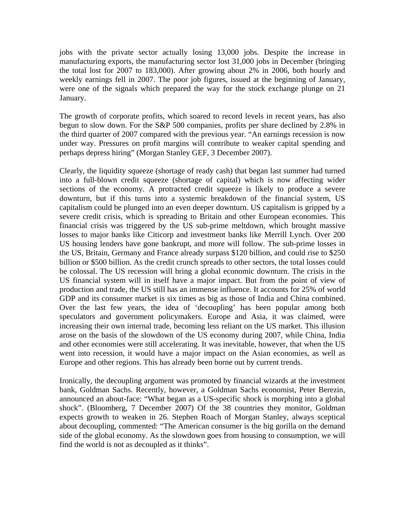jobs with the private sector actually losing 13,000 jobs. Despite the increase in manufacturing exports, the manufacturing sector lost 31,000 jobs in December (bringing the total lost for 2007 to 183,000). After growing about 2% in 2006, both hourly and weekly earnings fell in 2007. The poor job figures, issued at the beginning of January, were one of the signals which prepared the way for the stock exchange plunge on 21 January.

The growth of corporate profits, which soared to record levels in recent years, has also begun to slow down. For the S&P 500 companies, profits per share declined by 2.8% in the third quarter of 2007 compared with the previous year. "An earnings recession is now under way. Pressures on profit margins will contribute to weaker capital spending and perhaps depress hiring" (Morgan Stanley GEF, 3 December 2007).

Clearly, the liquidity squeeze (shortage of ready cash) that began last summer had turned into a full-blown credit squeeze (shortage of capital) which is now affecting wider sections of the economy. A protracted credit squeeze is likely to produce a severe downturn, but if this turns into a systemic breakdown of the financial system, US capitalism could be plunged into an even deeper downturn. US capitalism is gripped by a severe credit crisis, which is spreading to Britain and other European economies. This financial crisis was triggered by the US sub-prime meltdown, which brought massive losses to major banks like Citicorp and investment banks like Merrill Lynch. Over 200 US housing lenders have gone bankrupt, and more will follow. The sub-prime losses in the US, Britain, Germany and France already surpass \$120 billion, and could rise to \$250 billion or \$500 billion. As the credit crunch spreads to other sectors, the total losses could be colossal. The US recession will bring a global economic downturn. The crisis in the US financial system will in itself have a major impact. But from the point of view of production and trade, the US still has an immense influence. It accounts for 25% of world GDP and its consumer market is six times as big as those of India and China combined. Over the last few years, the idea of 'decoupling' has been popular among both speculators and government policymakers. Europe and Asia, it was claimed, were increasing their own internal trade, becoming less reliant on the US market. This illusion arose on the basis of the slowdown of the US economy during 2007, while China, India and other economies were still accelerating. It was inevitable, however, that when the US went into recession, it would have a major impact on the Asian economies, as well as Europe and other regions. This has already been borne out by current trends.

Ironically, the decoupling argument was promoted by financial wizards at the investment bank, Goldman Sachs. Recently, however, a Goldman Sachs economist, Peter Berezin, announced an about-face: "What began as a US-specific shock is morphing into a global shock". (Bloomberg, 7 December 2007) Of the 38 countries they monitor, Goldman expects growth to weaken in 26. Stephen Roach of Morgan Stanley, always sceptical about decoupling, commented: "The American consumer is the big gorilla on the demand side of the global economy. As the slowdown goes from housing to consumption, we will find the world is not as decoupled as it thinks".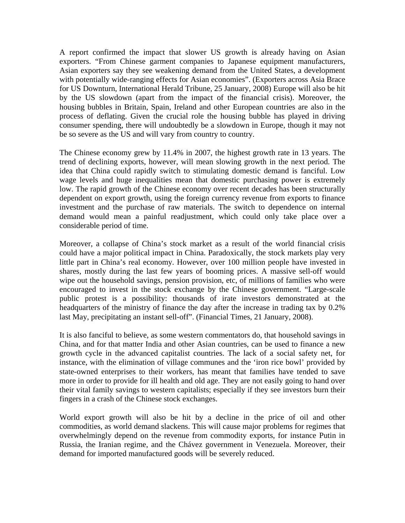A report confirmed the impact that slower US growth is already having on Asian exporters. "From Chinese garment companies to Japanese equipment manufacturers, Asian exporters say they see weakening demand from the United States, a development with potentially wide-ranging effects for Asian economies". (Exporters across Asia Brace for US Downturn, International Herald Tribune, 25 January, 2008) Europe will also be hit by the US slowdown (apart from the impact of the financial crisis). Moreover, the housing bubbles in Britain, Spain, Ireland and other European countries are also in the process of deflating. Given the crucial role the housing bubble has played in driving consumer spending, there will undoubtedly be a slowdown in Europe, though it may not be so severe as the US and will vary from country to country.

The Chinese economy grew by 11.4% in 2007, the highest growth rate in 13 years. The trend of declining exports, however, will mean slowing growth in the next period. The idea that China could rapidly switch to stimulating domestic demand is fanciful. Low wage levels and huge inequalities mean that domestic purchasing power is extremely low. The rapid growth of the Chinese economy over recent decades has been structurally dependent on export growth, using the foreign currency revenue from exports to finance investment and the purchase of raw materials. The switch to dependence on internal demand would mean a painful readjustment, which could only take place over a considerable period of time.

Moreover, a collapse of China's stock market as a result of the world financial crisis could have a major political impact in China. Paradoxically, the stock markets play very little part in China's real economy. However, over 100 million people have invested in shares, mostly during the last few years of booming prices. A massive sell-off would wipe out the household savings, pension provision, etc, of millions of families who were encouraged to invest in the stock exchange by the Chinese government. "Large-scale public protest is a possibility: thousands of irate investors demonstrated at the headquarters of the ministry of finance the day after the increase in trading tax by 0.2% last May, precipitating an instant sell-off". (Financial Times, 21 January, 2008).

It is also fanciful to believe, as some western commentators do, that household savings in China, and for that matter India and other Asian countries, can be used to finance a new growth cycle in the advanced capitalist countries. The lack of a social safety net, for instance, with the elimination of village communes and the 'iron rice bowl' provided by state-owned enterprises to their workers, has meant that families have tended to save more in order to provide for ill health and old age. They are not easily going to hand over their vital family savings to western capitalists; especially if they see investors burn their fingers in a crash of the Chinese stock exchanges.

World export growth will also be hit by a decline in the price of oil and other commodities, as world demand slackens. This will cause major problems for regimes that overwhelmingly depend on the revenue from commodity exports, for instance Putin in Russia, the Iranian regime, and the Chávez government in Venezuela. Moreover, their demand for imported manufactured goods will be severely reduced.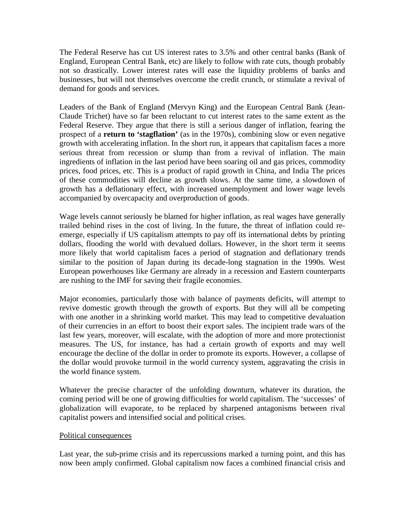The Federal Reserve has cut US interest rates to 3.5% and other central banks (Bank of England, European Central Bank, etc) are likely to follow with rate cuts, though probably not so drastically. Lower interest rates will ease the liquidity problems of banks and businesses, but will not themselves overcome the credit crunch, or stimulate a revival of demand for goods and services.

Leaders of the Bank of England (Mervyn King) and the European Central Bank (Jean-Claude Trichet) have so far been reluctant to cut interest rates to the same extent as the Federal Reserve. They argue that there is still a serious danger of inflation, fearing the prospect of a **return to 'stagflation'** (as in the 1970s), combining slow or even negative growth with accelerating inflation. In the short run, it appears that capitalism faces a more serious threat from recession or slump than from a revival of inflation. The main ingredients of inflation in the last period have been soaring oil and gas prices, commodity prices, food prices, etc. This is a product of rapid growth in China, and India The prices of these commodities will decline as growth slows. At the same time, a slowdown of growth has a deflationary effect, with increased unemployment and lower wage levels accompanied by overcapacity and overproduction of goods.

Wage levels cannot seriously be blamed for higher inflation, as real wages have generally trailed behind rises in the cost of living. In the future, the threat of inflation could reemerge, especially if US capitalism attempts to pay off its international debts by printing dollars, flooding the world with devalued dollars. However, in the short term it seems more likely that world capitalism faces a period of stagnation and deflationary trends similar to the position of Japan during its decade-long stagnation in the 1990s. West European powerhouses like Germany are already in a recession and Eastern counterparts are rushing to the IMF for saving their fragile economies.

Major economies, particularly those with balance of payments deficits, will attempt to revive domestic growth through the growth of exports. But they will all be competing with one another in a shrinking world market. This may lead to competitive devaluation of their currencies in an effort to boost their export sales. The incipient trade wars of the last few years, moreover, will escalate, with the adoption of more and more protectionist measures. The US, for instance, has had a certain growth of exports and may well encourage the decline of the dollar in order to promote its exports. However, a collapse of the dollar would provoke turmoil in the world currency system, aggravating the crisis in the world finance system.

Whatever the precise character of the unfolding downturn, whatever its duration, the coming period will be one of growing difficulties for world capitalism. The 'successes' of globalization will evaporate, to be replaced by sharpened antagonisms between rival capitalist powers and intensified social and political crises.

#### Political consequences

Last year, the sub-prime crisis and its repercussions marked a turning point, and this has now been amply confirmed. Global capitalism now faces a combined financial crisis and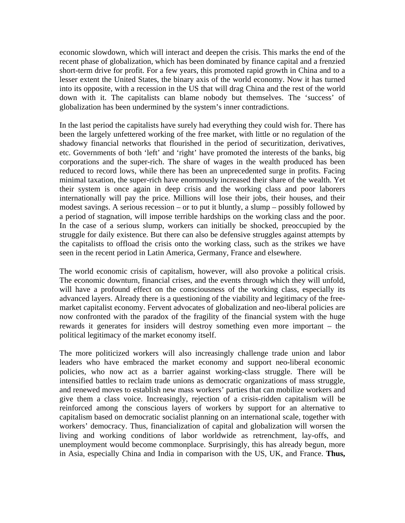economic slowdown, which will interact and deepen the crisis. This marks the end of the recent phase of globalization, which has been dominated by finance capital and a frenzied short-term drive for profit. For a few years, this promoted rapid growth in China and to a lesser extent the United States, the binary axis of the world economy. Now it has turned into its opposite, with a recession in the US that will drag China and the rest of the world down with it. The capitalists can blame nobody but themselves. The 'success' of globalization has been undermined by the system's inner contradictions.

In the last period the capitalists have surely had everything they could wish for. There has been the largely unfettered working of the free market, with little or no regulation of the shadowy financial networks that flourished in the period of securitization, derivatives, etc. Governments of both 'left' and 'right' have promoted the interests of the banks, big corporations and the super-rich. The share of wages in the wealth produced has been reduced to record lows, while there has been an unprecedented surge in profits. Facing minimal taxation, the super-rich have enormously increased their share of the wealth. Yet their system is once again in deep crisis and the working class and poor laborers internationally will pay the price. Millions will lose their jobs, their houses, and their modest savings. A serious recession – or to put it bluntly, a slump – possibly followed by a period of stagnation, will impose terrible hardships on the working class and the poor. In the case of a serious slump, workers can initially be shocked, preoccupied by the struggle for daily existence. But there can also be defensive struggles against attempts by the capitalists to offload the crisis onto the working class, such as the strikes we have seen in the recent period in Latin America, Germany, France and elsewhere.

The world economic crisis of capitalism, however, will also provoke a political crisis. The economic downturn, financial crises, and the events through which they will unfold, will have a profound effect on the consciousness of the working class, especially its advanced layers. Already there is a questioning of the viability and legitimacy of the freemarket capitalist economy. Fervent advocates of globalization and neo-liberal policies are now confronted with the paradox of the fragility of the financial system with the huge rewards it generates for insiders will destroy something even more important – the political legitimacy of the market economy itself.

The more politicized workers will also increasingly challenge trade union and labor leaders who have embraced the market economy and support neo-liberal economic policies, who now act as a barrier against working-class struggle. There will be intensified battles to reclaim trade unions as democratic organizations of mass struggle, and renewed moves to establish new mass workers' parties that can mobilize workers and give them a class voice. Increasingly, rejection of a crisis-ridden capitalism will be reinforced among the conscious layers of workers by support for an alternative to capitalism based on democratic socialist planning on an international scale, together with workers' democracy. Thus, financialization of capital and globalization will worsen the living and working conditions of labor worldwide as retrenchment, lay-offs, and unemployment would become commonplace. Surprisingly, this has already begun, more in Asia, especially China and India in comparison with the US, UK, and France. **Thus,**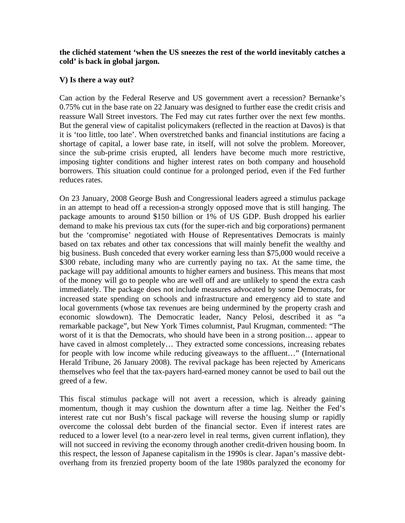**the clichéd statement 'when the US sneezes the rest of the world inevitably catches a cold' is back in global jargon.** 

### **V) Is there a way out?**

Can action by the Federal Reserve and US government avert a recession? Bernanke's 0.75% cut in the base rate on 22 January was designed to further ease the credit crisis and reassure Wall Street investors. The Fed may cut rates further over the next few months. But the general view of capitalist policymakers (reflected in the reaction at Davos) is that it is 'too little, too late'. When overstretched banks and financial institutions are facing a shortage of capital, a lower base rate, in itself, will not solve the problem. Moreover, since the sub-prime crisis erupted, all lenders have become much more restrictive, imposing tighter conditions and higher interest rates on both company and household borrowers. This situation could continue for a prolonged period, even if the Fed further reduces rates.

On 23 January, 2008 George Bush and Congressional leaders agreed a stimulus package in an attempt to head off a recession-a strongly opposed move that is still hanging. The package amounts to around \$150 billion or 1% of US GDP. Bush dropped his earlier demand to make his previous tax cuts (for the super-rich and big corporations) permanent but the 'compromise' negotiated with House of Representatives Democrats is mainly based on tax rebates and other tax concessions that will mainly benefit the wealthy and big business. Bush conceded that every worker earning less than \$75,000 would receive a \$300 rebate, including many who are currently paying no tax. At the same time, the package will pay additional amounts to higher earners and business. This means that most of the money will go to people who are well off and are unlikely to spend the extra cash immediately. The package does not include measures advocated by some Democrats, for increased state spending on schools and infrastructure and emergency aid to state and local governments (whose tax revenues are being undermined by the property crash and economic slowdown). The Democratic leader, Nancy Pelosi, described it as "a remarkable package", but New York Times columnist, Paul Krugman, commented: "The worst of it is that the Democrats, who should have been in a strong position… appear to have caved in almost completely… They extracted some concessions, increasing rebates for people with low income while reducing giveaways to the affluent…" (International Herald Tribune, 26 January 2008). The revival package has been rejected by Americans themselves who feel that the tax-payers hard-earned money cannot be used to bail out the greed of a few.

This fiscal stimulus package will not avert a recession, which is already gaining momentum, though it may cushion the downturn after a time lag. Neither the Fed's interest rate cut nor Bush's fiscal package will reverse the housing slump or rapidly overcome the colossal debt burden of the financial sector. Even if interest rates are reduced to a lower level (to a near-zero level in real terms, given current inflation), they will not succeed in reviving the economy through another credit-driven housing boom. In this respect, the lesson of Japanese capitalism in the 1990s is clear. Japan's massive debtoverhang from its frenzied property boom of the late 1980s paralyzed the economy for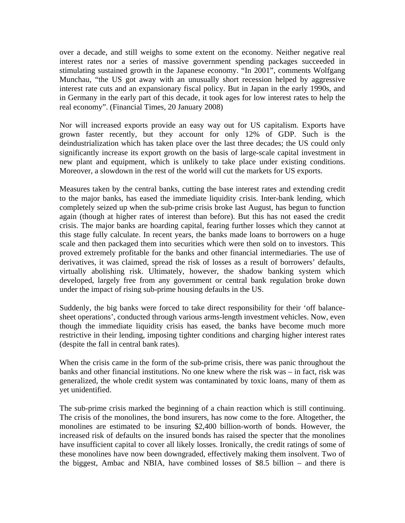over a decade, and still weighs to some extent on the economy. Neither negative real interest rates nor a series of massive government spending packages succeeded in stimulating sustained growth in the Japanese economy. "In 2001", comments Wolfgang Munchau, "the US got away with an unusually short recession helped by aggressive interest rate cuts and an expansionary fiscal policy. But in Japan in the early 1990s, and in Germany in the early part of this decade, it took ages for low interest rates to help the real economy". (Financial Times, 20 January 2008)

Nor will increased exports provide an easy way out for US capitalism. Exports have grown faster recently, but they account for only 12% of GDP. Such is the deindustrialization which has taken place over the last three decades; the US could only significantly increase its export growth on the basis of large-scale capital investment in new plant and equipment, which is unlikely to take place under existing conditions. Moreover, a slowdown in the rest of the world will cut the markets for US exports.

Measures taken by the central banks, cutting the base interest rates and extending credit to the major banks, has eased the immediate liquidity crisis. Inter-bank lending, which completely seized up when the sub-prime crisis broke last August, has begun to function again (though at higher rates of interest than before). But this has not eased the credit crisis. The major banks are hoarding capital, fearing further losses which they cannot at this stage fully calculate. In recent years, the banks made loans to borrowers on a huge scale and then packaged them into securities which were then sold on to investors. This proved extremely profitable for the banks and other financial intermediaries. The use of derivatives, it was claimed, spread the risk of losses as a result of borrowers' defaults, virtually abolishing risk. Ultimately, however, the shadow banking system which developed, largely free from any government or central bank regulation broke down under the impact of rising sub-prime housing defaults in the US.

Suddenly, the big banks were forced to take direct responsibility for their 'off balancesheet operations', conducted through various arms-length investment vehicles. Now, even though the immediate liquidity crisis has eased, the banks have become much more restrictive in their lending, imposing tighter conditions and charging higher interest rates (despite the fall in central bank rates).

When the crisis came in the form of the sub-prime crisis, there was panic throughout the banks and other financial institutions. No one knew where the risk was – in fact, risk was generalized, the whole credit system was contaminated by toxic loans, many of them as yet unidentified.

The sub-prime crisis marked the beginning of a chain reaction which is still continuing. The crisis of the monolines, the bond insurers, has now come to the fore. Altogether, the monolines are estimated to be insuring \$2,400 billion-worth of bonds. However, the increased risk of defaults on the insured bonds has raised the specter that the monolines have insufficient capital to cover all likely losses. Ironically, the credit ratings of some of these monolines have now been downgraded, effectively making them insolvent. Two of the biggest, Ambac and NBIA, have combined losses of \$8.5 billion – and there is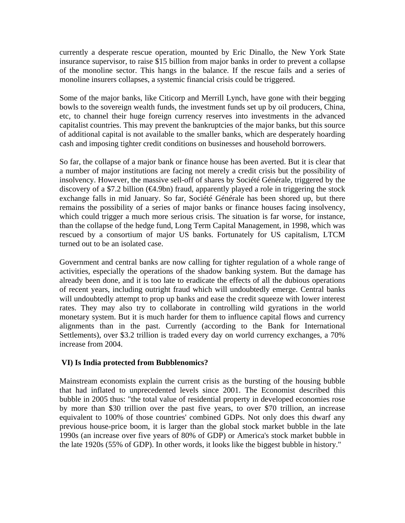currently a desperate rescue operation, mounted by Eric Dinallo, the New York State insurance supervisor, to raise \$15 billion from major banks in order to prevent a collapse of the monoline sector. This hangs in the balance. If the rescue fails and a series of monoline insurers collapses, a systemic financial crisis could be triggered.

Some of the major banks, like Citicorp and Merrill Lynch, have gone with their begging bowls to the sovereign wealth funds, the investment funds set up by oil producers, China, etc, to channel their huge foreign currency reserves into investments in the advanced capitalist countries. This may prevent the bankruptcies of the major banks, but this source of additional capital is not available to the smaller banks, which are desperately hoarding cash and imposing tighter credit conditions on businesses and household borrowers.

So far, the collapse of a major bank or finance house has been averted. But it is clear that a number of major institutions are facing not merely a credit crisis but the possibility of insolvency. However, the massive sell-off of shares by Société Générale, triggered by the discovery of a \$7.2 billion ( $\bigoplus$ , 9bn) fraud, apparently played a role in triggering the stock exchange falls in mid January. So far, Société Générale has been shored up, but there remains the possibility of a series of major banks or finance houses facing insolvency, which could trigger a much more serious crisis. The situation is far worse, for instance, than the collapse of the hedge fund, Long Term Capital Management, in 1998, which was rescued by a consortium of major US banks. Fortunately for US capitalism, LTCM turned out to be an isolated case.

Government and central banks are now calling for tighter regulation of a whole range of activities, especially the operations of the shadow banking system. But the damage has already been done, and it is too late to eradicate the effects of all the dubious operations of recent years, including outright fraud which will undoubtedly emerge. Central banks will undoubtedly attempt to prop up banks and ease the credit squeeze with lower interest rates. They may also try to collaborate in controlling wild gyrations in the world monetary system. But it is much harder for them to influence capital flows and currency alignments than in the past. Currently (according to the Bank for International Settlements), over \$3.2 trillion is traded every day on world currency exchanges, a 70% increase from 2004.

# **VI) Is India protected from Bubblenomics?**

Mainstream economists explain the current crisis as the bursting of the housing bubble that had inflated to unprecedented levels since 2001. The Economist described this bubble in 2005 thus: "the total value of residential property in developed economies rose by more than \$30 trillion over the past five years, to over \$70 trillion, an increase equivalent to 100% of those countries' combined GDPs. Not only does this dwarf any previous house-price boom, it is larger than the global stock market bubble in the late 1990s (an increase over five years of 80% of GDP) or America's stock market bubble in the late 1920s (55% of GDP). In other words, it looks like the biggest bubble in history."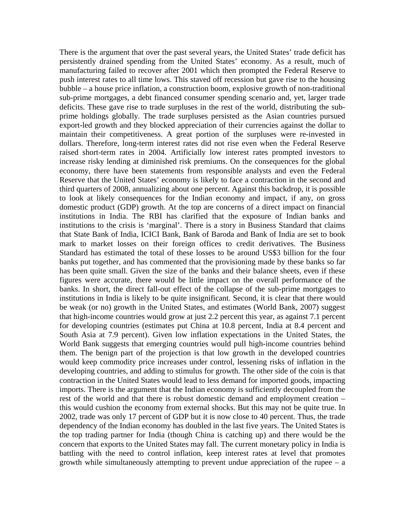There is the argument that over the past several years, the United States' trade deficit has persistently drained spending from the United States' economy. As a result, much of manufacturing failed to recover after 2001 which then prompted the Federal Reserve to push interest rates to all time lows. This staved off recession but gave rise to the housing bubble – a house price inflation, a construction boom, explosive growth of non-traditional sub-prime mortgages, a debt financed consumer spending scenario and, yet, larger trade deficits. These gave rise to trade surpluses in the rest of the world, distributing the subprime holdings globally. The trade surpluses persisted as the Asian countries pursued export-led growth and they blocked appreciation of their currencies against the dollar to maintain their competitiveness. A great portion of the surpluses were re-invested in dollars. Therefore, long-term interest rates did not rise even when the Federal Reserve raised short-term rates in 2004. Artificially low interest rates prompted investors to increase risky lending at diminished risk premiums. On the consequences for the global economy, there have been statements from responsible analysts and even the Federal Reserve that the United States' economy is likely to face a contraction in the second and third quarters of 2008, annualizing about one percent. Against this backdrop, it is possible to look at likely consequences for the Indian economy and impact, if any, on gross domestic product (GDP) growth. At the top are concerns of a direct impact on financial institutions in India. The RBI has clarified that the exposure of Indian banks and institutions to the crisis is 'marginal'. There is a story in Business Standard that claims that State Bank of India, ICICI Bank, Bank of Baroda and Bank of India are set to book mark to market losses on their foreign offices to credit derivatives. The Business Standard has estimated the total of these losses to be around US\$3 billion for the four banks put together, and has commented that the provisioning made by these banks so far has been quite small. Given the size of the banks and their balance sheets, even if these figures were accurate, there would be little impact on the overall performance of the banks. In short, the direct fall-out effect of the collapse of the sub-prime mortgages to institutions in India is likely to be quite insignificant. Second, it is clear that there would be weak (or no) growth in the United States, and estimates (World Bank, 2007) suggest that high-income countries would grow at just 2.2 percent this year, as against 7.1 percent for developing countries (estimates put China at 10.8 percent, India at 8.4 percent and South Asia at 7.9 percent). Given low inflation expectations in the United States, the World Bank suggests that emerging countries would pull high-income countries behind them. The benign part of the projection is that low growth in the developed countries would keep commodity price increases under control, lessening risks of inflation in the developing countries, and adding to stimulus for growth. The other side of the coin is that contraction in the United States would lead to less demand for imported goods, impacting imports. There is the argument that the Indian economy is sufficiently decoupled from the rest of the world and that there is robust domestic demand and employment creation – this would cushion the economy from external shocks. But this may not be quite true. In 2002, trade was only 17 percent of GDP but it is now close to 40 percent. Thus, the trade dependency of the Indian economy has doubled in the last five years. The United States is the top trading partner for India (though China is catching up) and there would be the concern that exports to the United States may fall. The current monetary policy in India is battling with the need to control inflation, keep interest rates at level that promotes growth while simultaneously attempting to prevent undue appreciation of the rupee – a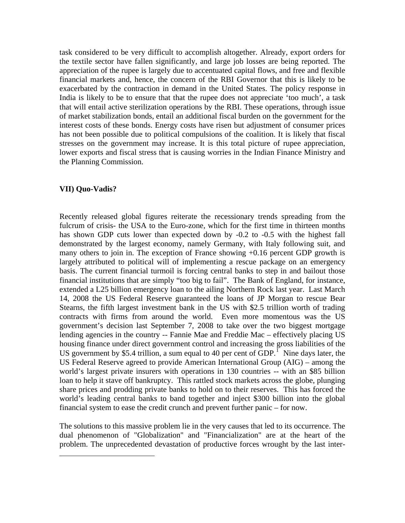task considered to be very difficult to accomplish altogether. Already, export orders for the textile sector have fallen significantly, and large job losses are being reported. The appreciation of the rupee is largely due to accentuated capital flows, and free and flexible financial markets and, hence, the concern of the RBI Governor that this is likely to be exacerbated by the contraction in demand in the United States. The policy response in India is likely to be to ensure that that the rupee does not appreciate 'too much', a task that will entail active sterilization operations by the RBI. These operations, through issue of market stabilization bonds, entail an additional fiscal burden on the government for the interest costs of these bonds. Energy costs have risen but adjustment of consumer prices has not been possible due to political compulsions of the coalition. It is likely that fiscal stresses on the government may increase. It is this total picture of rupee appreciation, lower exports and fiscal stress that is causing worries in the Indian Finance Ministry and the Planning Commission.

### **VII) Quo-Vadis?**

<span id="page-15-0"></span> $\overline{a}$ 

Recently released global figures reiterate the recessionary trends spreading from the fulcrum of crisis- the USA to the Euro-zone, which for the first time in thirteen months has shown GDP cuts lower than expected down by -0.2 to -0.5 with the highest fall demonstrated by the largest economy, namely Germany, with Italy following suit, and many others to join in. The exception of France showing  $+0.16$  percent GDP growth is largely attributed to political will of implementing a rescue package on an emergency basis. The current financial turmoil is forcing central banks to step in and bailout those financial institutions that are simply "too big to fail". The Bank of England, for instance, extended a L25 billion emergency loan to the ailing Northern Rock last year. Last March 14, 2008 the US Federal Reserve guaranteed the loans of JP Morgan to rescue Bear Stearns, the fifth largest investment bank in the US with \$2.5 trillion worth of trading contracts with firms from around the world. Even more momentous was the US government's decision last September 7, 2008 to take over the two biggest mortgage lending agencies in the country -- Fannie Mae and Freddie Mac – effectively placing US housing finance under direct government control and increasing the gross liabilities of the US government by \$5.4 trillion, a sum equal to 40 per cent of  $GDP$ <sup>[1](#page-15-0)</sup>. Nine days later, the US Federal Reserve agreed to provide American International Group (AIG) – among the world's largest private insurers with operations in 130 countries -- with an \$85 billion loan to help it stave off bankruptcy. This rattled stock markets across the globe, plunging share prices and prodding private banks to hold on to their reserves. This has forced the world's leading central banks to band together and inject \$300 billion into the global financial system to ease the credit crunch and prevent further panic – for now.

The solutions to this massive problem lie in the very causes that led to its occurrence. The dual phenomenon of "Globalization" and "Financialization" are at the heart of the problem. The unprecedented devastation of productive forces wrought by the last inter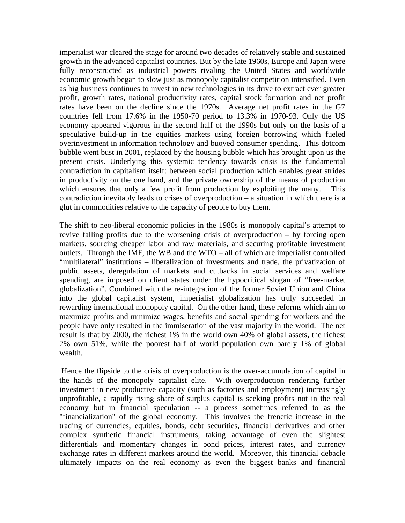imperialist war cleared the stage for around two decades of relatively stable and sustained growth in the advanced capitalist countries. But by the late 1960s, Europe and Japan were fully reconstructed as industrial powers rivaling the United States and worldwide economic growth began to slow just as monopoly capitalist competition intensified. Even as big business continues to invest in new technologies in its drive to extract ever greater profit, growth rates, national productivity rates, capital stock formation and net profit rates have been on the decline since the 1970s. Average net profit rates in the G7 countries fell from 17.6% in the 1950-70 period to 13.3% in 1970-93. Only the US economy appeared vigorous in the second half of the 1990s but only on the basis of a speculative build-up in the equities markets using foreign borrowing which fueled overinvestment in information technology and buoyed consumer spending. This dotcom bubble went bust in 2001, replaced by the housing bubble which has brought upon us the present crisis. Underlying this systemic tendency towards crisis is the fundamental contradiction in capitalism itself: between social production which enables great strides in productivity on the one hand, and the private ownership of the means of production which ensures that only a few profit from production by exploiting the many. This contradiction inevitably leads to crises of overproduction – a situation in which there is a glut in commodities relative to the capacity of people to buy them.

The shift to neo-liberal economic policies in the 1980s is monopoly capital's attempt to revive falling profits due to the worsening crisis of overproduction – by forcing open markets, sourcing cheaper labor and raw materials, and securing profitable investment outlets. Through the IMF, the WB and the WTO – all of which are imperialist controlled "multilateral" institutions – liberalization of investments and trade, the privatization of public assets, deregulation of markets and cutbacks in social services and welfare spending, are imposed on client states under the hypocritical slogan of "free-market globalization". Combined with the re-integration of the former Soviet Union and China into the global capitalist system, imperialist globalization has truly succeeded in rewarding international monopoly capital. On the other hand, these reforms which aim to maximize profits and minimize wages, benefits and social spending for workers and the people have only resulted in the immiseration of the vast majority in the world. The net result is that by 2000, the richest 1% in the world own 40% of global assets, the richest 2% own 51%, while the poorest half of world population own barely 1% of global wealth.

 Hence the flipside to the crisis of overproduction is the over-accumulation of capital in the hands of the monopoly capitalist elite. With overproduction rendering further investment in new productive capacity (such as factories and employment) increasingly unprofitable, a rapidly rising share of surplus capital is seeking profits not in the real economy but in financial speculation -- a process sometimes referred to as the "financialization" of the global economy. This involves the frenetic increase in the trading of currencies, equities, bonds, debt securities, financial derivatives and other complex synthetic financial instruments, taking advantage of even the slightest differentials and momentary changes in bond prices, interest rates, and currency exchange rates in different markets around the world. Moreover, this financial debacle ultimately impacts on the real economy as even the biggest banks and financial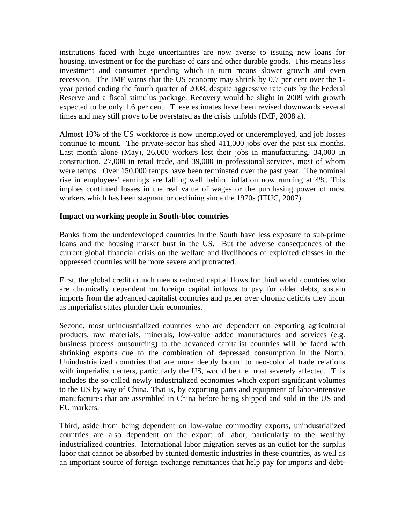institutions faced with huge uncertainties are now averse to issuing new loans for housing, investment or for the purchase of cars and other durable goods. This means less investment and consumer spending which in turn means slower growth and even recession. The IMF warns that the US economy may shrink by 0.7 per cent over the 1 year period ending the fourth quarter of 2008, despite aggressive rate cuts by the Federal Reserve and a fiscal stimulus package. Recovery would be slight in 2009 with growth expected to be only 1.6 per cent. These estimates have been revised downwards several times and may still prove to be overstated as the crisis unfolds (IMF, 2008 a).

Almost 10% of the US workforce is now unemployed or underemployed, and job losses continue to mount. The private-sector has shed 411,000 jobs over the past six months. Last month alone (May), 26,000 workers lost their jobs in manufacturing, 34,000 in construction, 27,000 in retail trade, and 39,000 in professional services, most of whom were temps. Over 150,000 temps have been terminated over the past year. The nominal rise in employees' earnings are falling well behind inflation now running at 4%. This implies continued losses in the real value of wages or the purchasing power of most workers which has been stagnant or declining since the 1970s (ITUC, 2007).

## **Impact on working people in South-bloc countries**

Banks from the underdeveloped countries in the South have less exposure to sub-prime loans and the housing market bust in the US. But the adverse consequences of the current global financial crisis on the welfare and livelihoods of exploited classes in the oppressed countries will be more severe and protracted.

First, the global credit crunch means reduced capital flows for third world countries who are chronically dependent on foreign capital inflows to pay for older debts, sustain imports from the advanced capitalist countries and paper over chronic deficits they incur as imperialist states plunder their economies.

Second, most unindustrialized countries who are dependent on exporting agricultural products, raw materials, minerals, low-value added manufactures and services (e.g. business process outsourcing) to the advanced capitalist countries will be faced with shrinking exports due to the combination of depressed consumption in the North. Unindustrialized countries that are more deeply bound to neo-colonial trade relations with imperialist centers, particularly the US, would be the most severely affected. This includes the so-called newly industrialized economies which export significant volumes to the US by way of China. That is, by exporting parts and equipment of labor-intensive manufactures that are assembled in China before being shipped and sold in the US and EU markets.

Third, aside from being dependent on low-value commodity exports, unindustrialized countries are also dependent on the export of labor, particularly to the wealthy industrialized countries. International labor migration serves as an outlet for the surplus labor that cannot be absorbed by stunted domestic industries in these countries, as well as an important source of foreign exchange remittances that help pay for imports and debt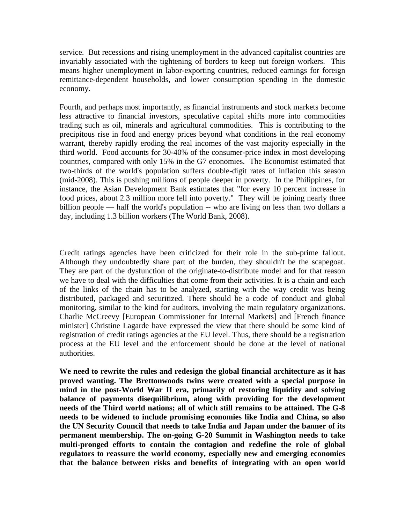service. But recessions and rising unemployment in the advanced capitalist countries are invariably associated with the tightening of borders to keep out foreign workers. This means higher unemployment in labor-exporting countries, reduced earnings for foreign remittance-dependent households, and lower consumption spending in the domestic economy.

Fourth, and perhaps most importantly, as financial instruments and stock markets become less attractive to financial investors, speculative capital shifts more into commodities trading such as oil, minerals and agricultural commodities. This is contributing to the precipitous rise in food and energy prices beyond what conditions in the real economy warrant, thereby rapidly eroding the real incomes of the vast majority especially in the third world. Food accounts for 30-40% of the consumer-price index in most developing countries, compared with only 15% in the G7 economies. The Economist estimated that two-thirds of the world's population suffers double-digit rates of inflation this season (mid-2008). This is pushing millions of people deeper in poverty. In the Philippines, for instance, the Asian Development Bank estimates that "for every 10 percent increase in food prices, about 2.3 million more fell into poverty." They will be joining nearly three billion people — half the world's population -- who are living on less than two dollars a day, including 1.3 billion workers (The World Bank, 2008).

Credit ratings agencies have been criticized for their role in the sub-prime fallout. Although they undoubtedly share part of the burden, they shouldn't be the scapegoat. They are part of the dysfunction of the originate-to-distribute model and for that reason we have to deal with the difficulties that come from their activities. It is a chain and each of the links of the chain has to be analyzed, starting with the way credit was being distributed, packaged and securitized. There should be a code of conduct and global monitoring, similar to the kind for auditors, involving the main regulatory organizations. Charlie McCreevy [European Commissioner for Internal Markets] and [French finance minister] Christine Lagarde have expressed the view that there should be some kind of registration of credit ratings agencies at the EU level. Thus, there should be a registration process at the EU level and the enforcement should be done at the level of national authorities.

**We need to rewrite the rules and redesign the global financial architecture as it has proved wanting. The Brettonwoods twins were created with a special purpose in mind in the post-World War II era, primarily of restoring liquidity and solving balance of payments disequilibrium, along with providing for the development needs of the Third world nations; all of which still remains to be attained. The G-8 needs to be widened to include promising economies like India and China, so also the UN Security Council that needs to take India and Japan under the banner of its permanent membership. The on-going G-20 Summit in Washington needs to take multi-pronged efforts to contain the contagion and redefine the role of global regulators to reassure the world economy, especially new and emerging economies that the balance between risks and benefits of integrating with an open world**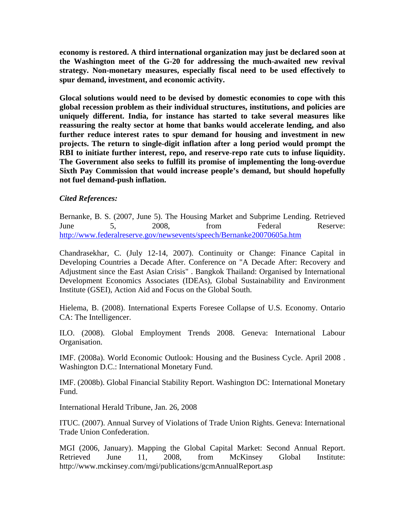**economy is restored. A third international organization may just be declared soon at the Washington meet of the G-20 for addressing the much-awaited new revival strategy. Non-monetary measures, especially fiscal need to be used effectively to spur demand, investment, and economic activity.** 

**Glocal solutions would need to be devised by domestic economies to cope with this global recession problem as their individual structures, institutions, and policies are uniquely different. India, for instance has started to take several measures like reassuring the realty sector at home that banks would accelerate lending, and also further reduce interest rates to spur demand for housing and investment in new projects. The return to single-digit inflation after a long period would prompt the RBI to initiate further interest, repo, and reserve-repo rate cuts to infuse liquidity. The Government also seeks to fulfill its promise of implementing the long-overdue Sixth Pay Commission that would increase people's demand, but should hopefully not fuel demand-push inflation.** 

## *Cited References:*

Bernanke, B. S. (2007, June 5). The Housing Market and Subprime Lending. Retrieved June 5, 2008, from Federal Reserve: <http://www.federalreserve.gov/newsevents/speech/Bernanke20070605a.htm>

Chandrasekhar, C. (July 12-14, 2007). Continuity or Change: Finance Capital in Developing Countries a Decade After. Conference on "A Decade After: Recovery and Adjustment since the East Asian Crisis" . Bangkok Thailand: Organised by International Development Economics Associates (IDEAs), Global Sustainability and Environment Institute (GSEI), Action Aid and Focus on the Global South.

Hielema, B. (2008). International Experts Foresee Collapse of U.S. Economy. Ontario CA: The Intelligencer.

ILO. (2008). Global Employment Trends 2008. Geneva: International Labour Organisation.

IMF. (2008a). World Economic Outlook: Housing and the Business Cycle. April 2008 . Washington D.C.: International Monetary Fund.

IMF. (2008b). Global Financial Stability Report. Washington DC: International Monetary Fund.

International Herald Tribune, Jan. 26, 2008

ITUC. (2007). Annual Survey of Violations of Trade Union Rights. Geneva: International Trade Union Confederation.

MGI (2006, January). Mapping the Global Capital Market: Second Annual Report. Retrieved June 11, 2008, from McKinsey Global Institute: http://www.mckinsey.com/mgi/publications/gcmAnnualReport.asp